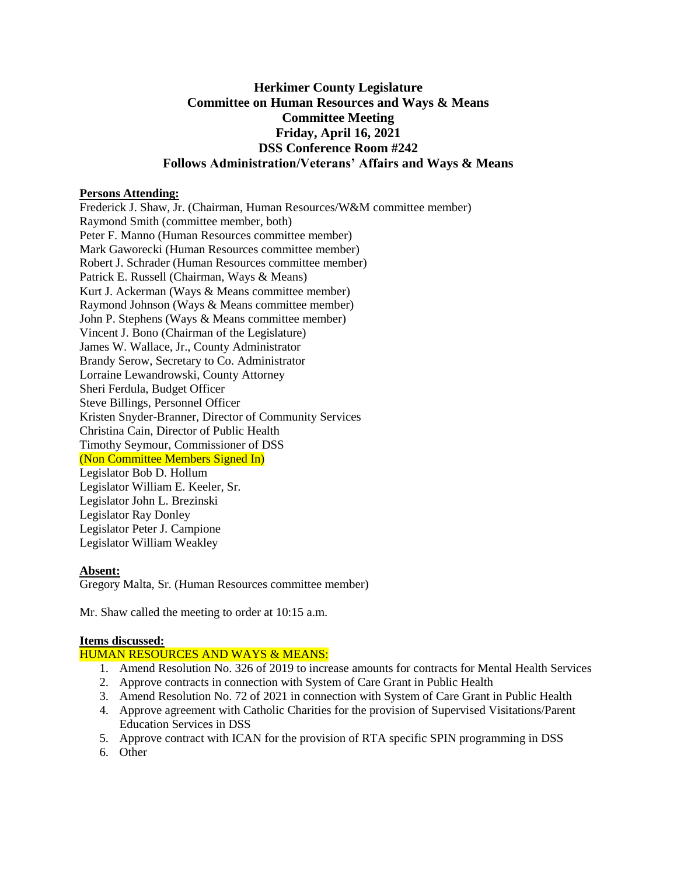# **Herkimer County Legislature Committee on Human Resources and Ways & Means Committee Meeting Friday, April 16, 2021 DSS Conference Room #242 Follows Administration/Veterans' Affairs and Ways & Means**

#### **Persons Attending:**

Frederick J. Shaw, Jr. (Chairman, Human Resources/W&M committee member) Raymond Smith (committee member, both) Peter F. Manno (Human Resources committee member) Mark Gaworecki (Human Resources committee member) Robert J. Schrader (Human Resources committee member) Patrick E. Russell (Chairman, Ways & Means) Kurt J. Ackerman (Ways & Means committee member) Raymond Johnson (Ways & Means committee member) John P. Stephens (Ways & Means committee member) Vincent J. Bono (Chairman of the Legislature) James W. Wallace, Jr., County Administrator Brandy Serow, Secretary to Co. Administrator Lorraine Lewandrowski, County Attorney Sheri Ferdula, Budget Officer Steve Billings, Personnel Officer Kristen Snyder-Branner, Director of Community Services Christina Cain, Director of Public Health Timothy Seymour, Commissioner of DSS (Non Committee Members Signed In) Legislator Bob D. Hollum Legislator William E. Keeler, Sr. Legislator John L. Brezinski Legislator Ray Donley Legislator Peter J. Campione Legislator William Weakley

#### **Absent:**

Gregory Malta, Sr. (Human Resources committee member)

Mr. Shaw called the meeting to order at 10:15 a.m.

## **Items discussed:**

## HUMAN RESOURCES AND WAYS & MEANS:

- 1. Amend Resolution No. 326 of 2019 to increase amounts for contracts for Mental Health Services
- 2. Approve contracts in connection with System of Care Grant in Public Health
- 3. Amend Resolution No. 72 of 2021 in connection with System of Care Grant in Public Health
- 4. Approve agreement with Catholic Charities for the provision of Supervised Visitations/Parent Education Services in DSS
- 5. Approve contract with ICAN for the provision of RTA specific SPIN programming in DSS
- 6. Other